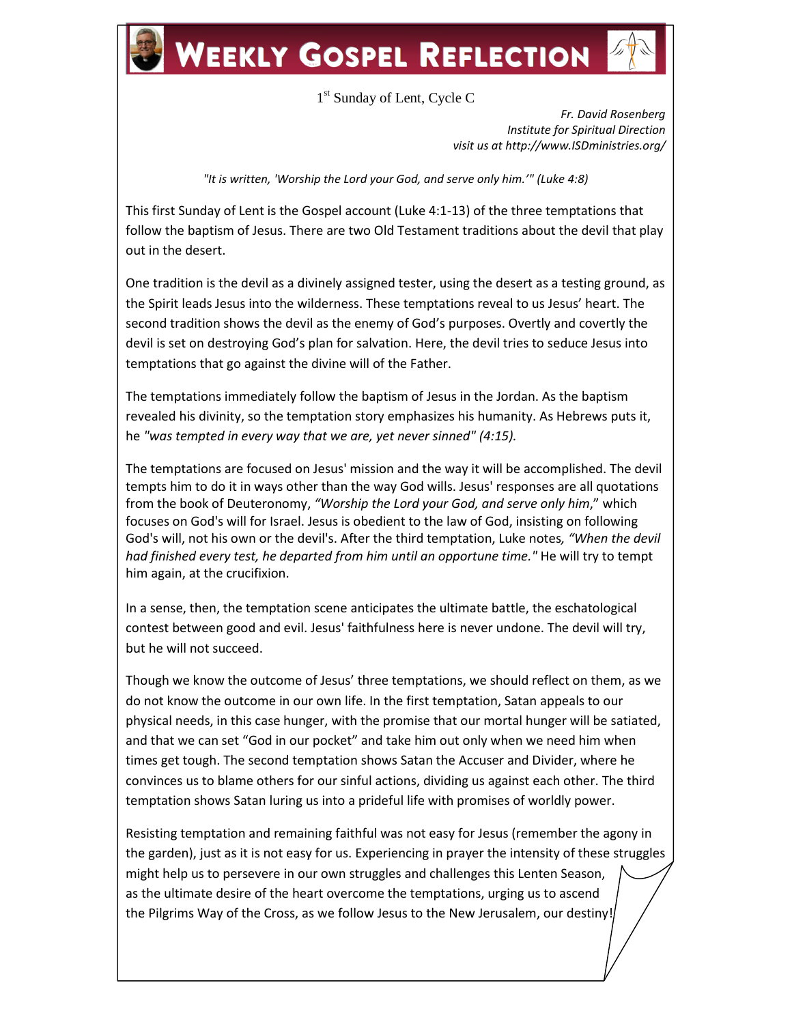## **WEEKLY GOSPEL REFLECTION**

1<sup>st</sup> Sunday of Lent, Cycle C

*Fr. David Rosenberg Institute for Spiritual Direction visit us at http://www.ISDministries.org/*

*"It is written, 'Worship the Lord your God, and serve only him.'" (Luke 4:8)*

This first Sunday of Lent is the Gospel account (Luke 4:1-13) of the three temptations that follow the baptism of Jesus. There are two Old Testament traditions about the devil that play out in the desert.

One tradition is the devil as a divinely assigned tester, using the desert as a testing ground, as the Spirit leads Jesus into the wilderness. These temptations reveal to us Jesus' heart. The second tradition shows the devil as the enemy of God's purposes. Overtly and covertly the devil is set on destroying God's plan for salvation. Here, the devil tries to seduce Jesus into temptations that go against the divine will of the Father.

The temptations immediately follow the baptism of Jesus in the Jordan. As the baptism revealed his divinity, so the temptation story emphasizes his humanity. As Hebrews puts it, he *"was tempted in every way that we are, yet never sinned" (4:15).* 

The temptations are focused on Jesus' mission and the way it will be accomplished. The devil tempts him to do it in ways other than the way God wills. Jesus' responses are all quotations from the book of Deuteronomy, *"Worship the Lord your God, and serve only him*," which focuses on God's will for Israel. Jesus is obedient to the law of God, insisting on following God's will, not his own or the devil's. After the third temptation, Luke notes*, "When the devil had finished every test, he departed from him until an opportune time."* He will try to tempt him again, at the crucifixion.

In a sense, then, the temptation scene anticipates the ultimate battle, the eschatological contest between good and evil. Jesus' faithfulness here is never undone. The devil will try, but he will not succeed.

Though we know the outcome of Jesus' three temptations, we should reflect on them, as we do not know the outcome in our own life. In the first temptation, Satan appeals to our physical needs, in this case hunger, with the promise that our mortal hunger will be satiated, and that we can set "God in our pocket" and take him out only when we need him when times get tough. The second temptation shows Satan the Accuser and Divider, where he convinces us to blame others for our sinful actions, dividing us against each other. The third temptation shows Satan luring us into a prideful life with promises of worldly power.

Resisting temptation and remaining faithful was not easy for Jesus (remember the agony in the garden), just as it is not easy for us. Experiencing in prayer the intensity of these struggles might help us to persevere in our own struggles and challenges this Lenten Season, as the ultimate desire of the heart overcome the temptations, urging us to ascend the Pilgrims Way of the Cross, as we follow Jesus to the New Jerusalem, our destiny!